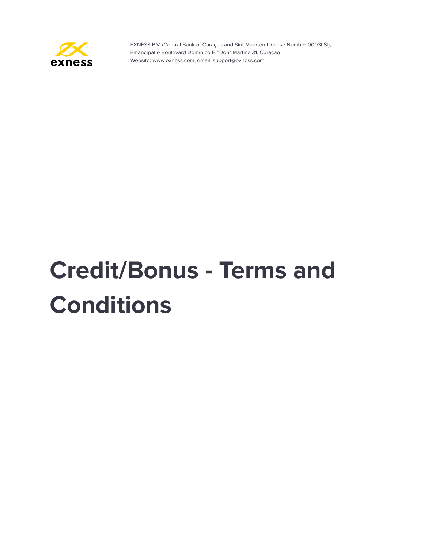

# **Credit/Bonus - Terms and Conditions**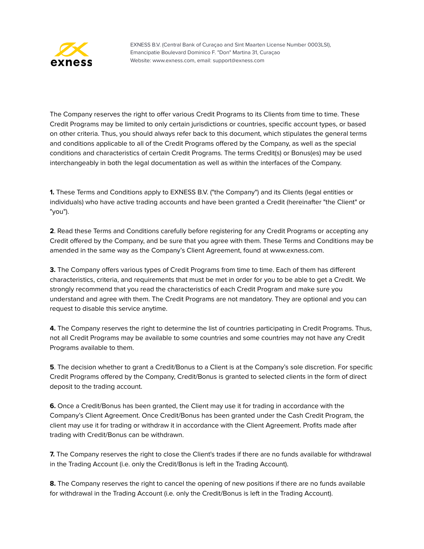

The Company reserves the right to offer various Credit Programs to its Clients from time to time. These Credit Programs may be limited to only certain jurisdictions or countries, specific account types, or based on other criteria. Thus, you should always refer back to this document, which stipulates the general terms and conditions applicable to all of the Credit Programs offered by the Company, as well as the special conditions and characteristics of certain Credit Programs. The terms Credit(s) or Bonus(es) may be used interchangeably in both the legal documentation as well as within the interfaces of the Company.

**1.** These Terms and Conditions apply to EXNESS B.V. ("the Company") and its Clients (legal entities or individuals) who have active trading accounts and have been granted a Credit (hereinafter "the Client" or "you").

**2**. Read these Terms and Conditions carefully before registering for any Credit Programs or accepting any Credit offered by the Company, and be sure that you agree with them. These Terms and Conditions may be amended in the same way as the Company's Client Agreement, found at www.exness.com.

**3.** The Company offers various types of Credit Programs from time to time. Each of them has different characteristics, criteria, and requirements that must be met in order for you to be able to get a Credit. We strongly recommend that you read the characteristics of each Credit Program and make sure you understand and agree with them. The Credit Programs are not mandatory. They are optional and you can request to disable this service anytime.

**4.** The Company reserves the right to determine the list of countries participating in Credit Programs. Thus, not all Credit Programs may be available to some countries and some countries may not have any Credit Programs available to them.

**5**. The decision whether to grant a Credit/Bonus to a Client is at the Company's sole discretion. For specific Credit Programs offered by the Company, Credit/Bonus is granted to selected clients in the form of direct deposit to the trading account.

**6.** Once a Credit/Bonus has been granted, the Client may use it for trading in accordance with the Company's Client Agreement. Once Credit/Bonus has been granted under the Cash Credit Program, the client may use it for trading or withdraw it in accordance with the Client Agreement. Profits made after trading with Credit/Bonus can be withdrawn.

**7.** The Company reserves the right to close the Client's trades if there are no funds available for withdrawal in the Trading Account (i.e. only the Credit/Bonus is left in the Trading Account).

**8.** The Company reserves the right to cancel the opening of new positions if there are no funds available for withdrawal in the Trading Account (i.e. only the Credit/Bonus is left in the Trading Account).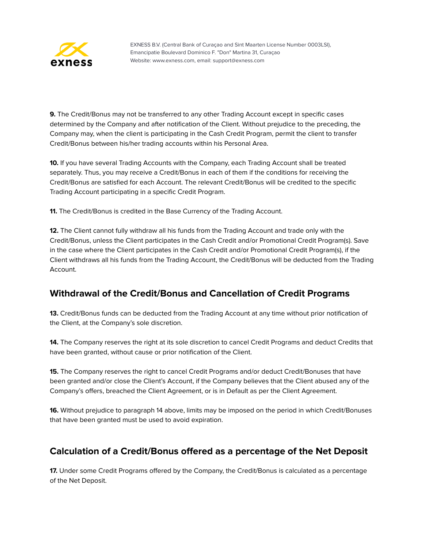

**9.** The Credit/Bonus may not be transferred to any other Trading Account except in specific cases determined by the Company and after notification of the Client. Without prejudice to the preceding, the Company may, when the client is participating in the Cash Credit Program, permit the client to transfer Credit/Bonus between his/her trading accounts within his Personal Area.

**10.** If you have several Trading Accounts with the Company, each Trading Account shall be treated separately. Thus, you may receive a Credit/Bonus in each of them if the conditions for receiving the Credit/Bonus are satisfied for each Account. The relevant Credit/Bonus will be credited to the specific Trading Account participating in a specific Credit Program.

**11.** The Credit/Bonus is credited in the Base Currency of the Trading Account.

**12.** The Client cannot fully withdraw all his funds from the Trading Account and trade only with the Credit/Bonus, unless the Client participates in the Cash Credit and/or Promotional Credit Program(s). Save in the case where the Client participates in the Cash Credit and/or Promotional Credit Program(s), if the Client withdraws all his funds from the Trading Account, the Credit/Bonus will be deducted from the Trading Account.

## **Withdrawal of the Credit/Bonus and Cancellation of Credit Programs**

**13.** Credit/Bonus funds can be deducted from the Trading Account at any time without prior notification of the Client, at the Company's sole discretion.

**14.** The Company reserves the right at its sole discretion to cancel Credit Programs and deduct Credits that have been granted, without cause or prior notification of the Client.

**15.** The Company reserves the right to cancel Credit Programs and/or deduct Credit/Bonuses that have been granted and/or close the Client's Account, if the Company believes that the Client abused any of the Company's offers, breached the Client Agreement, or is in Default as per the Client Agreement.

**16.** Without prejudice to paragraph 14 above, limits may be imposed on the period in which Credit/Bonuses that have been granted must be used to avoid expiration.

# **Calculation of a Credit/Bonus offered as a percentage of the Net Deposit**

**17.** Under some Credit Programs offered by the Company, the Credit/Bonus is calculated as a percentage of the Net Deposit.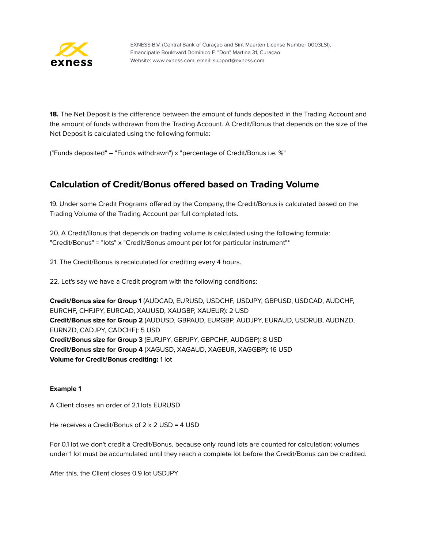

**18.** The Net Deposit is the difference between the amount of funds deposited in the Trading Account and the amount of funds withdrawn from the Trading Account. A Credit/Bonus that depends on the size of the Net Deposit is calculated using the following formula:

("Funds deposited" – "Funds withdrawn") х "percentage of Credit/Bonus i.e. %"

# **Calculation of Credit/Bonus offered based on Trading Volume**

19. Under some Credit Programs offered by the Company, the Credit/Bonus is calculated based on the Trading Volume of the Trading Account per full completed lots.

20. A Credit/Bonus that depends on trading volume is calculated using the following formula: "Credit/Bonus" = "lots" x "Credit/Bonus amount per lot for particular instrument"\*

21. The Credit/Bonus is recalculated for crediting every 4 hours.

22. Let's say we have a Credit program with the following conditions:

**Credit/Bonus size for Group 1** (AUDCAD, EURUSD, USDCHF, USDJPY, GBPUSD, USDCAD, AUDCHF, EURCHF, CHFJPY, EURCAD, XAUUSD, XAUGBP, XAUEUR): 2 USD **Credit/Bonus size for Group 2** (AUDUSD, GBPAUD, EURGBP, AUDJPY, EURAUD, USDRUB, AUDNZD, EURNZD, CADJPY, CADCHF): 5 USD **Credit/Bonus size for Group 3** (EURJPY, GBPJPY, GBPCHF, AUDGBP): 8 USD **Credit/Bonus size for Group 4** (XAGUSD, XAGAUD, XAGEUR, XAGGBP): 16 USD **Volume for Credit/Bonus crediting:** 1 lot

#### **Example 1**

A Client closes an order of 2.1 lots EURUSD

He receives a Credit/Bonus of 2 x 2 USD = 4 USD

For 0.1 lot we don't credit a Credit/Bonus, because only round lots are counted for calculation; volumes under 1 lot must be accumulated until they reach a complete lot before the Credit/Bonus can be credited.

After this, the Client closes 0.9 lot USDJPY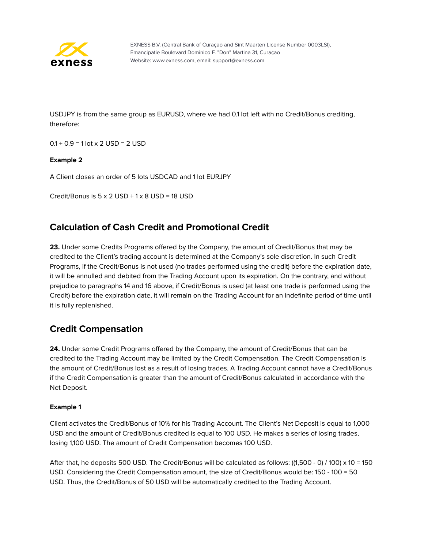

USDJPY is from the same group as EURUSD, where we had 0.1 lot left with no Credit/Bonus crediting, therefore:

 $0.1 + 0.9 = 1$  lot x 2 USD = 2 USD

#### **Example 2**

A Client closes an order of 5 lots USDCAD and 1 lot EURJPY

Credit/Bonus is  $5 \times 2$  USD +  $1 \times 8$  USD = 18 USD

## **Calculation of Cash Credit and Promotional Credit**

**23.** Under some Credits Programs offered by the Company, the amount of Credit/Bonus that may be credited to the Client's trading account is determined at the Company's sole discretion. In such Credit Programs, if the Credit/Bonus is not used (no trades performed using the credit) before the expiration date, it will be annulled and debited from the Trading Account upon its expiration. On the contrary, and without prejudice to paragraphs 14 and 16 above, if Credit/Bonus is used (at least one trade is performed using the Credit) before the expiration date, it will remain on the Trading Account for an indefinite period of time until it is fully replenished.

## **Credit Compensation**

**24.** Under some Credit Programs offered by the Company, the amount of Credit/Bonus that can be credited to the Trading Account may be limited by the Credit Compensation. The Credit Compensation is the amount of Credit/Bonus lost as a result of losing trades. A Trading Account cannot have a Credit/Bonus if the Credit Compensation is greater than the amount of Credit/Bonus calculated in accordance with the Net Deposit.

#### **Example 1**

Client activates the Credit/Bonus of 10% for his Trading Account. The Client's Net Deposit is equal to 1,000 USD and the amount of Credit/Bonus credited is equal to 100 USD. He makes a series of losing trades, losing 1,100 USD. The amount of Credit Compensation becomes 100 USD.

After that, he deposits 500 USD. The Credit/Bonus will be calculated as follows: ((1,500 - 0) / 100) x 10 = 150 USD. Considering the Credit Compensation amount, the size of Credit/Bonus would be: 150 - 100 = 50 USD. Thus, the Credit/Bonus of 50 USD will be automatically credited to the Trading Account.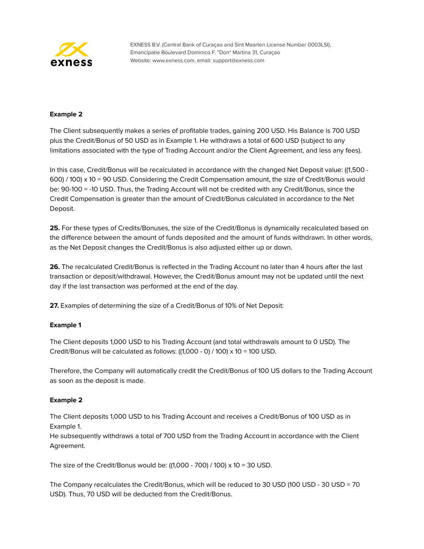

#### **Example 2**

The Client subsequently makes a series of profitable trades, gaining 200 USD. His Balance is 700 USD plus the Credit/Bonus of 50 USD as in Example 1. He withdraws a total of 600 USD (subject to any limitations associated with the type of Trading Account and/or the Client Agreement, and less any fees).

In this case, Credit/Bonus will be recalculated in accordance with the changed Net Deposit value: ((1,500 - 600) / 100) x 10 = 90 USD. Considering the Credit Compensation amount, the size of Credit/Bonus would be: 90-100 = -10 USD. Thus, the Trading Account will not be credited with any Credit/Bonus, since the Credit Compensation is greater than the amount of Credit/Bonus calculated in accordance to the Net Deposit.

**25.** For these types of Credits/Bonuses, the size of the Credit/Bonus is dynamically recalculated based on the difference between the amount of funds deposited and the amount of funds withdrawn. In other words, as the Net Deposit changes the Credit/Bonus is also adjusted either up or down.

**26.** The recalculated Credit/Bonus is reflected in the Trading Account no later than 4 hours after the last transaction or deposit/withdrawal. However, the Credit/Bonus amount may not be updated until the next day if the last transaction was performed at the end of the day.

**27.** Examples of determining the size of a Credit/Bonus of 10% of Net Deposit:

#### **Example 1**

The Client deposits 1,000 USD to his Trading Account (and total withdrawals amount to 0 USD). The Credit/Bonus will be calculated as follows: ((1,000 - 0) / 100) х 10 = 100 USD.

Therefore, the Company will automatically credit the Credit/Bonus of 100 US dollars to the Trading Account as soon as the deposit is made.

#### **Example 2**

The Client deposits 1,000 USD to his Trading Account and receives a Credit/Bonus of 100 USD as in Example 1.

He subsequently withdraws a total of 700 USD from the Trading Account in accordance with the Client Agreement.

The size of the Credit/Bonus would be: ((1,000 - 700) / 100) x 10 = 30 USD.

The Company recalculates the Credit/Bonus, which will be reduced to 30 USD (100 USD - 30 USD = 70 USD). Thus, 70 USD will be deducted from the Credit/Bonus.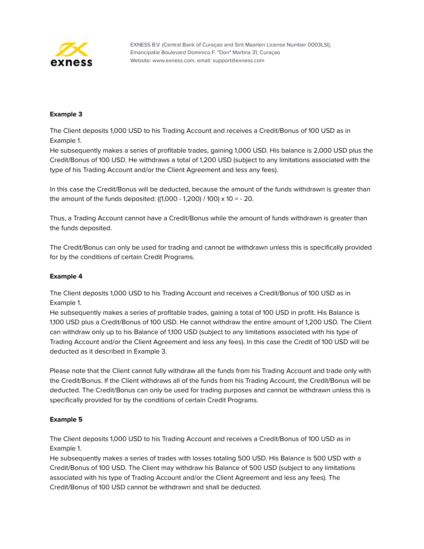

#### **Example 3**

The Client deposits 1,000 USD to his Trading Account and receives a Credit/Bonus of 100 USD as in Example 1.

He subsequently makes a series of profitable trades, gaining 1,000 USD. His balance is 2,000 USD plus the Credit/Bonus of 100 USD. He withdraws a total of 1,200 USD (subject to any limitations associated with the type of his Trading Account and/or the Client Agreement and less any fees).

In this case the Credit/Bonus will be deducted, because the amount of the funds withdrawn is greater than the amount of the funds deposited: ((1,000 - 1,200) / 100) х 10 = - 20.

Thus, a Trading Account cannot have a Credit/Bonus while the amount of funds withdrawn is greater than the funds deposited.

The Credit/Bonus can only be used for trading and cannot be withdrawn unless this is specifically provided for by the conditions of certain Credit Programs.

#### **Example 4**

The Client deposits 1,000 USD to his Trading Account and receives a Credit/Bonus of 100 USD as in Example 1.

He subsequently makes a series of profitable trades, gaining a total of 100 USD in profit. His Balance is 1,100 USD plus a Credit/Bonus of 100 USD. He cannot withdraw the entire amount of 1,200 USD. The Client can withdraw only up to his Balance of 1,100 USD (subject to any limitations associated with his type of Trading Account and/or the Client Agreement and less any fees). In this case the Credit of 100 USD will be deducted as it described in Example 3.

Please note that the Client cannot fully withdraw all the funds from his Trading Account and trade only with the Credit/Bonus. If the Client withdraws all of the funds from his Trading Account, the Credit/Bonus will be deducted. The Credit/Bonus can only be used for trading purposes and cannot be withdrawn unless this is specifically provided for by the conditions of certain Credit Programs.

#### **Example 5**

The Client deposits 1,000 USD to his Trading Account and receives a Credit/Bonus of 100 USD as in Example 1.

He subsequently makes a series of trades with losses totaling 500 USD. His Balance is 500 USD with a Credit/Bonus of 100 USD. The Client may withdraw his Balance of 500 USD (subject to any limitations associated with his type of Trading Account and/or the Client Agreement and less any fees). The Credit/Bonus of 100 USD cannot be withdrawn and shall be deducted.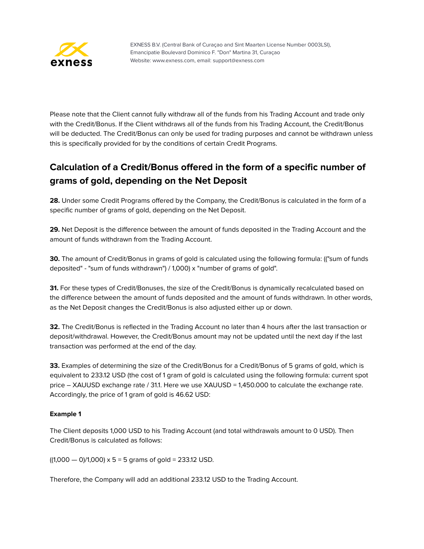

Please note that the Client cannot fully withdraw all of the funds from his Trading Account and trade only with the Credit/Bonus. If the Client withdraws all of the funds from his Trading Account, the Credit/Bonus will be deducted. The Credit/Bonus can only be used for trading purposes and cannot be withdrawn unless this is specifically provided for by the conditions of certain Credit Programs.

# **Calculation of a Credit/Bonus offered in the form of a specific number of grams of gold, depending on the Net Deposit**

**28.** Under some Credit Programs offered by the Company, the Credit/Bonus is calculated in the form of a specific number of grams of gold, depending on the Net Deposit.

**29.** Net Deposit is the difference between the amount of funds deposited in the Trading Account and the amount of funds withdrawn from the Trading Account.

**30.** The amount of Credit/Bonus in grams of gold is calculated using the following formula: (("sum of funds deposited" - "sum of funds withdrawn") / 1,000) х "number of grams of gold".

**31.** For these types of Credit/Bonuses, the size of the Credit/Bonus is dynamically recalculated based on the difference between the amount of funds deposited and the amount of funds withdrawn. In other words, as the Net Deposit changes the Credit/Bonus is also adjusted either up or down.

**32.** The Credit/Bonus is reflected in the Trading Account no later than 4 hours after the last transaction or deposit/withdrawal. However, the Credit/Bonus amount may not be updated until the next day if the last transaction was performed at the end of the day.

**33.** Examples of determining the size of the Credit/Bonus for a Credit/Bonus of 5 grams of gold, which is equivalent to 233.12 USD (the cost of 1 gram of gold is calculated using the following formula: current spot price – XAUUSD exchange rate / 31.1. Here we use XAUUSD = 1,450.000 to calculate the exchange rate. Accordingly, the price of 1 gram of gold is 46.62 USD:

#### **Example 1**

The Client deposits 1,000 USD to his Trading Account (and total withdrawals amount to 0 USD). Then Credit/Bonus is calculated as follows:

 $((1,000 - 0)/1,000) \times 5 = 5$  grams of gold = 233.12 USD.

Therefore, the Company will add an additional 233.12 USD to the Trading Account.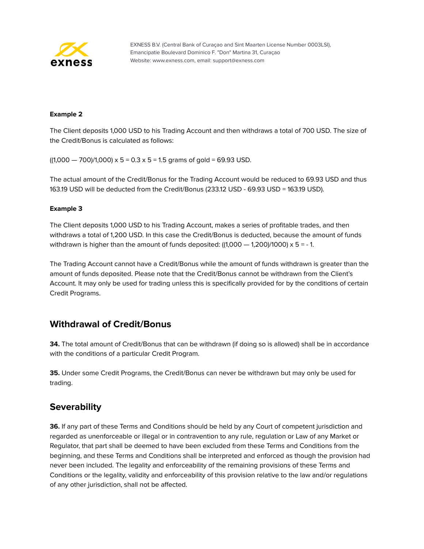

#### **Example 2**

The Client deposits 1,000 USD to his Trading Account and then withdraws a total of 700 USD. The size of the Credit/Bonus is calculated as follows:

 $((1,000 - 700)/1,000) \times 5 = 0.3 \times 5 = 1.5$  grams of gold = 69.93 USD.

The actual amount of the Credit/Bonus for the Trading Account would be reduced to 69.93 USD and thus 163.19 USD will be deducted from the Credit/Bonus (233.12 USD - 69.93 USD = 163.19 USD).

#### **Example 3**

The Client deposits 1,000 USD to his Trading Account, makes a series of profitable trades, and then withdraws a total of 1,200 USD. In this case the Credit/Bonus is deducted, because the amount of funds withdrawn is higher than the amount of funds deposited:  $((1,000 - 1,200)/1000) \times 5 = -1$ .

The Trading Account cannot have a Credit/Bonus while the amount of funds withdrawn is greater than the amount of funds deposited. Please note that the Credit/Bonus cannot be withdrawn from the Client's Account. It may only be used for trading unless this is specifically provided for by the conditions of certain Credit Programs.

## **Withdrawal of Credit/Bonus**

**34.** The total amount of Credit/Bonus that can be withdrawn (if doing so is allowed) shall be in accordance with the conditions of a particular Credit Program.

**35.** Under some Credit Programs, the Credit/Bonus can never be withdrawn but may only be used for trading.

## **Severability**

**36.** If any part of these Terms and Conditions should be held by any Court of competent jurisdiction and regarded as unenforceable or illegal or in contravention to any rule, regulation or Law of any Market or Regulator, that part shall be deemed to have been excluded from these Terms and Conditions from the beginning, and these Terms and Conditions shall be interpreted and enforced as though the provision had never been included. The legality and enforceability of the remaining provisions of these Terms and Conditions or the legality, validity and enforceability of this provision relative to the law and/or regulations of any other jurisdiction, shall not be affected.